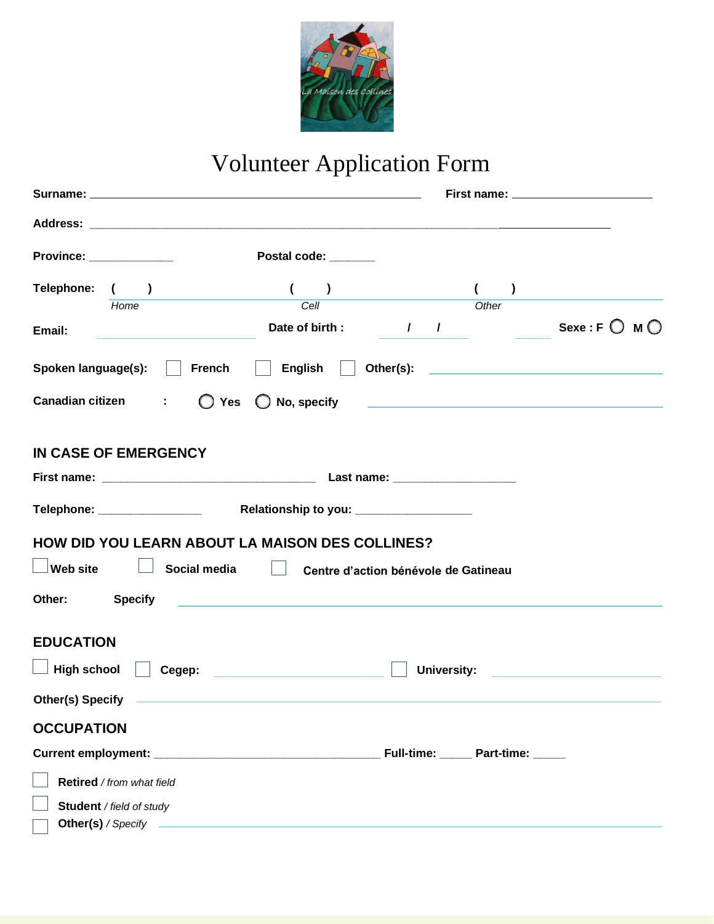

# Volunteer Application Form

|                                                                                                                                                                                                                                      |                                                                                                                                                                                                                                                                                                                                                                                                                             |                                      |       | First name: ____________________                                                                                |
|--------------------------------------------------------------------------------------------------------------------------------------------------------------------------------------------------------------------------------------|-----------------------------------------------------------------------------------------------------------------------------------------------------------------------------------------------------------------------------------------------------------------------------------------------------------------------------------------------------------------------------------------------------------------------------|--------------------------------------|-------|-----------------------------------------------------------------------------------------------------------------|
|                                                                                                                                                                                                                                      |                                                                                                                                                                                                                                                                                                                                                                                                                             |                                      |       |                                                                                                                 |
| <b>Province: Example 2019</b>                                                                                                                                                                                                        | Postal code: _______                                                                                                                                                                                                                                                                                                                                                                                                        |                                      |       |                                                                                                                 |
| Telephone: ( )                                                                                                                                                                                                                       | $\begin{array}{ c c c c c }\hline \rule{0pt}{12pt} & & & \\\hline \rule{0pt}{12pt} & & & \\\hline \rule{0pt}{12pt} & & & \\\hline \rule{0pt}{12pt} & & & \\\hline \rule{0pt}{12pt} & & & \\\hline \rule{0pt}{12pt} & & & \\\hline \rule{0pt}{12pt} & & & \\\hline \rule{0pt}{12pt} & & & \\\hline \rule{0pt}{12pt} & & & \\\hline \rule{0pt}{12pt} & & & \\\hline \rule{0pt}{12pt} & & & \\\hline \rule{0pt}{12pt} & & & \$ |                                      | $($ ) |                                                                                                                 |
| Home                                                                                                                                                                                                                                 | Cell                                                                                                                                                                                                                                                                                                                                                                                                                        |                                      | Other |                                                                                                                 |
| Email:                                                                                                                                                                                                                               | Date of birth: $\sqrt{2}$                                                                                                                                                                                                                                                                                                                                                                                                   |                                      |       | Sexe : F $\bigcirc$ M $\bigcirc$                                                                                |
| Spoken language(s):                                                                                                                                                                                                                  | <b>French</b><br>$\sim$ 1.0                                                                                                                                                                                                                                                                                                                                                                                                 |                                      |       |                                                                                                                 |
| Canadian citizen :                                                                                                                                                                                                                   | $\bigcirc$ Yes                                                                                                                                                                                                                                                                                                                                                                                                              |                                      |       |                                                                                                                 |
| IN CASE OF EMERGENCY                                                                                                                                                                                                                 |                                                                                                                                                                                                                                                                                                                                                                                                                             |                                      |       |                                                                                                                 |
|                                                                                                                                                                                                                                      |                                                                                                                                                                                                                                                                                                                                                                                                                             |                                      |       |                                                                                                                 |
|                                                                                                                                                                                                                                      |                                                                                                                                                                                                                                                                                                                                                                                                                             |                                      |       |                                                                                                                 |
| HOW DID YOU LEARN ABOUT LA MAISON DES COLLINES?                                                                                                                                                                                      |                                                                                                                                                                                                                                                                                                                                                                                                                             |                                      |       |                                                                                                                 |
| $\Box$ Web site                                                                                                                                                                                                                      | Social media<br>$\mathbb{R}^n$                                                                                                                                                                                                                                                                                                                                                                                              | Centre d'action bénévole de Gatineau |       |                                                                                                                 |
| Other: Specify                                                                                                                                                                                                                       | <u> 1989 - John Harry Harry Harry Harry Harry Harry Harry Harry Harry Harry Harry Harry Harry Harry Harry Harry H</u>                                                                                                                                                                                                                                                                                                       |                                      |       |                                                                                                                 |
| <b>EDUCATION</b>                                                                                                                                                                                                                     |                                                                                                                                                                                                                                                                                                                                                                                                                             |                                      |       |                                                                                                                 |
| High school                                                                                                                                                                                                                          | Cegep: with the contract of the contract of the contract of the contract of the contract of the contract of the                                                                                                                                                                                                                                                                                                             |                                      |       | University: the contract of the contract of the contract of the contract of the contract of the contract of the |
| Other(s) Specify <b>contained a set of the set of the set of the set of the set of the set of the set of the set of the set of the set of the set of the set of the set of the set of the set of the set of the set of the set o</b> |                                                                                                                                                                                                                                                                                                                                                                                                                             |                                      |       |                                                                                                                 |
| <b>OCCUPATION</b>                                                                                                                                                                                                                    |                                                                                                                                                                                                                                                                                                                                                                                                                             |                                      |       |                                                                                                                 |
|                                                                                                                                                                                                                                      |                                                                                                                                                                                                                                                                                                                                                                                                                             |                                      |       |                                                                                                                 |
| Retired / from what field                                                                                                                                                                                                            |                                                                                                                                                                                                                                                                                                                                                                                                                             |                                      |       |                                                                                                                 |
| Student / field of study                                                                                                                                                                                                             |                                                                                                                                                                                                                                                                                                                                                                                                                             |                                      |       |                                                                                                                 |
|                                                                                                                                                                                                                                      |                                                                                                                                                                                                                                                                                                                                                                                                                             |                                      |       |                                                                                                                 |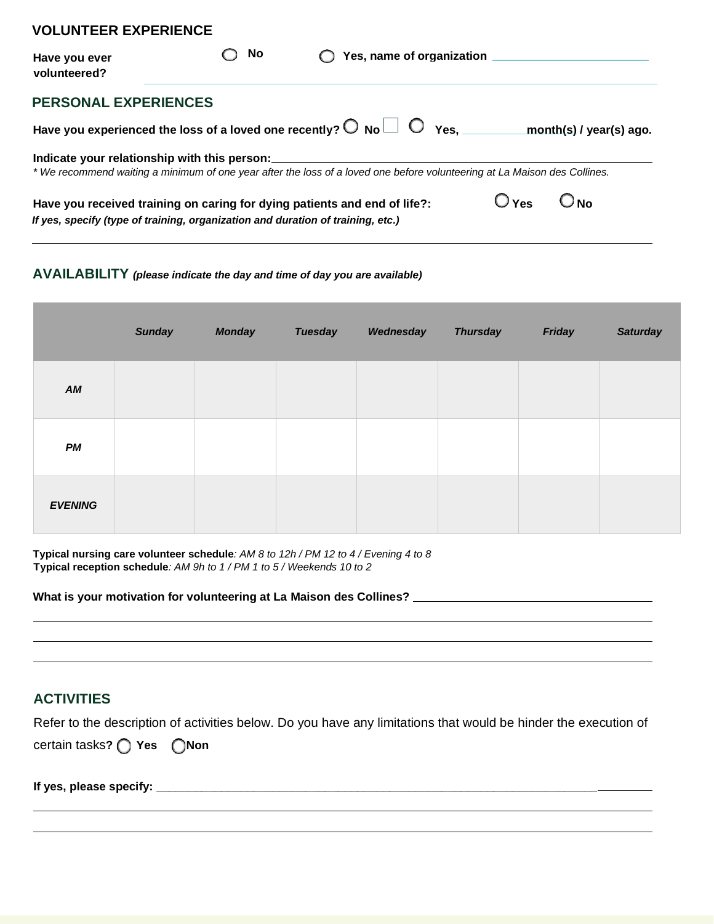| , 06011 661 671 6116106                                                         |    |                                                                                                                           |                  |                         |
|---------------------------------------------------------------------------------|----|---------------------------------------------------------------------------------------------------------------------------|------------------|-------------------------|
| Have you ever<br>volunteered?                                                   | No | Yes, name of organization                                                                                                 |                  |                         |
| <b>PERSONAL EXPERIENCES</b>                                                     |    |                                                                                                                           |                  |                         |
|                                                                                 |    | Have you experienced the loss of a loved one recently? $\bigcirc$ No $\Box$ $\bigcirc$ Yes.                               |                  | month(s) / year(s) ago. |
| Indicate your relationship with this person:                                    |    |                                                                                                                           |                  |                         |
|                                                                                 |    | * We recommend waiting a minimum of one year after the loss of a loved one before volunteering at La Maison des Collines. |                  |                         |
| Have you received training on caring for dying patients and end of life?:       |    |                                                                                                                           | $O_{\text{Yes}}$ | O No                    |
| If yes, specify (type of training, organization and duration of training, etc.) |    |                                                                                                                           |                  |                         |

#### **AVAILABILITY** *(please indicate the day and time of day you are available)*

|                | <b>Sunday</b> | <b>Monday</b> | <b>Tuesday</b> | Wednesday | <b>Thursday</b> | Friday | <b>Saturday</b> |
|----------------|---------------|---------------|----------------|-----------|-----------------|--------|-----------------|
| AM             |               |               |                |           |                 |        |                 |
| PM             |               |               |                |           |                 |        |                 |
| <b>EVENING</b> |               |               |                |           |                 |        |                 |

**Typical nursing care volunteer schedule***: AM 8 to 12h / PM 12 to 4 / Evening 4 to 8* **Typical reception schedule***: AM 9h to 1 / PM 1 to 5 / Weekends 10 to 2*

**What is your motivation for volunteering at La Maison des Collines?** 

### **ACTIVITIES**

Refer to the description of activities below. Do you have any limitations that would be hinder the execution of

*Certain tasks? ◯ Yes* ◯ Non

**VOLUNTEER EXPERIENCE**

**If yes, please specify: \_\_\_\_\_\_\_\_\_\_\_\_\_\_\_\_\_\_\_\_\_\_\_\_\_\_\_\_\_\_\_\_\_\_\_\_\_\_\_\_\_\_\_\_\_\_\_\_\_\_\_\_\_\_\_\_\_\_\_\_\_\_\_\_\_\_\_\_**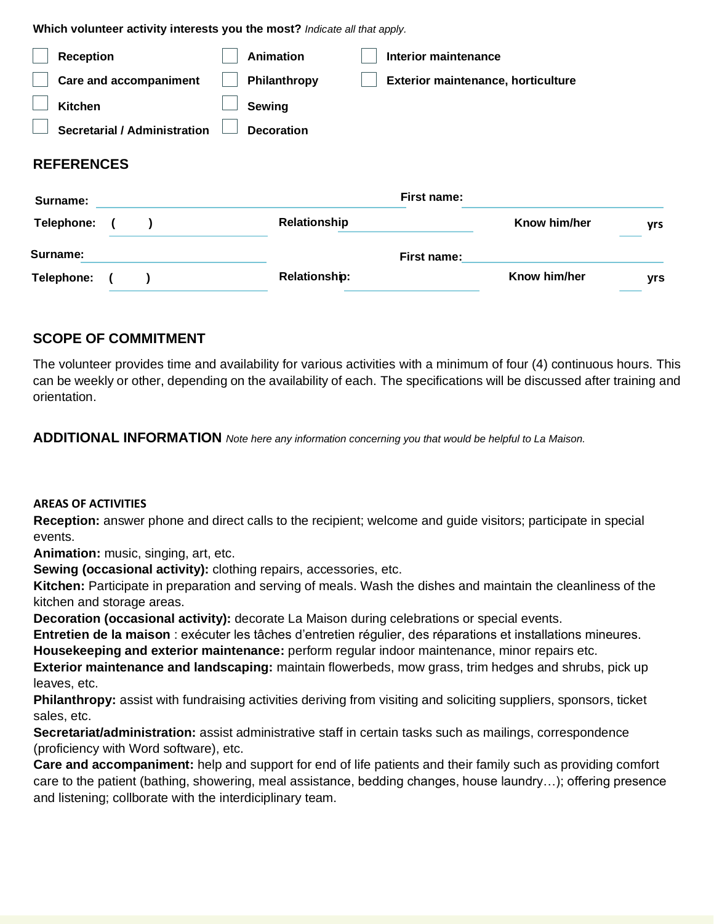**Which volunteer activity interests you the most?** *Indicate all that apply.*

| <b>Reception</b>  |                                     | <b>Animation</b>     | Interior maintenance                      |              |     |
|-------------------|-------------------------------------|----------------------|-------------------------------------------|--------------|-----|
|                   | <b>Care and accompaniment</b>       | Philanthropy         | <b>Exterior maintenance, horticulture</b> |              |     |
| <b>Kitchen</b>    |                                     | Sewing               |                                           |              |     |
|                   | <b>Secretarial / Administration</b> | <b>Decoration</b>    |                                           |              |     |
| <b>REFERENCES</b> |                                     |                      |                                           |              |     |
| Surname:          |                                     |                      | First name:                               |              |     |
| Telephone:        |                                     | Relationship         |                                           | Know him/her | yrs |
| Surname:          |                                     |                      | First name:                               |              |     |
| Telephone:        |                                     | <b>Relationship:</b> |                                           | Know him/her | yrs |

## **SCOPE OF COMMITMENT**

The volunteer provides time and availability for various activities with a minimum of four (4) continuous hours. This can be weekly or other, depending on the availability of each. The specifications will be discussed after training and orientation.

**ADDITIONAL INFORMATION** *Note here any information concerning you that would be helpful to La Maison.*

#### **AREAS OF ACTIVITIES**

**Reception:** answer phone and direct calls to the recipient; welcome and guide visitors; participate in special events.

**Animation:** music, singing, art, etc.

**Sewing (occasional activity):** clothing repairs, accessories, etc.

**Kitchen:** Participate in preparation and serving of meals. Wash the dishes and maintain the cleanliness of the kitchen and storage areas.

**Decoration (occasional activity):** decorate La Maison during celebrations or special events.

**Entretien de la maison** : exécuter les tâches d'entretien régulier, des réparations et installations mineures. **Housekeeping and exterior maintenance:** perform regular indoor maintenance, minor repairs etc.

**Exterior maintenance and landscaping:** maintain flowerbeds, mow grass, trim hedges and shrubs, pick up leaves, etc.

**Philanthropy:** assist with fundraising activities deriving from visiting and soliciting suppliers, sponsors, ticket sales, etc.

**Secretariat/administration:** assist administrative staff in certain tasks such as mailings, correspondence (proficiency with Word software), etc.

**Care and accompaniment:** help and support for end of life patients and their family such as providing comfort care to the patient (bathing, showering, meal assistance, bedding changes, house laundry…); offering presence and listening; collborate with the interdiciplinary team.